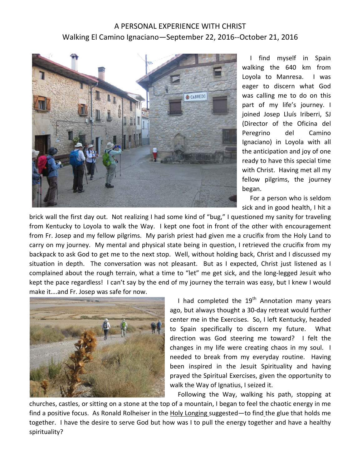## A PERSONAL EXPERIENCE WITH CHRIST Walking El Camino Ignaciano—September 22, 2016--October 21, 2016



 I find myself in Spain walking the 640 km from Loyola to Manresa. I was eager to discern what God was calling me to do on this part of my life's journey. I joined Josep Lluís Iriberri, SJ (Director of the Oficina del Peregrino del Camino Ignaciano) in Loyola with all the anticipation and joy of one ready to have this special time with Christ. Having met all my fellow pilgrims, the journey began.

 For a person who is seldom sick and in good health, I hit a

brick wall the first day out. Not realizing I had some kind of "bug," I questioned my sanity for traveling from Kentucky to Loyola to walk the Way. I kept one foot in front of the other with encouragement from Fr. Josep and my fellow pilgrims. My parish priest had given me a crucifix from the Holy Land to carry on my journey. My mental and physical state being in question, I retrieved the crucifix from my backpack to ask God to get me to the next stop. Well, without holding back, Christ and I discussed my situation in depth. The conversation was not pleasant. But as I expected, Christ just listened as I complained about the rough terrain, what a time to "let" me get sick, and the long-legged Jesuit who kept the pace regardless! I can't say by the end of my journey the terrain was easy, but I knew I would make it….and Fr. Josep was safe for now.



I had completed the  $19<sup>th</sup>$  Annotation many years ago, but always thought a 30-day retreat would further center me in the Exercises. So, I left Kentucky, headed to Spain specifically to discern my future. What direction was God steering me toward? I felt the changes in my life were creating chaos in my soul. I needed to break from my everyday routine. Having been inspired in the Jesuit Spirituality and having prayed the Spiritual Exercises, given the opportunity to walk the Way of Ignatius, I seized it.

Following the Way, walking his path, stopping at

churches, castles, or sitting on a stone at the top of a mountain, I began to feel the chaotic energy in me find a positive focus. As Ronald Rolheiser in the Holy Longing suggested—to find the glue that holds me together. I have the desire to serve God but how was I to pull the energy together and have a healthy spirituality?